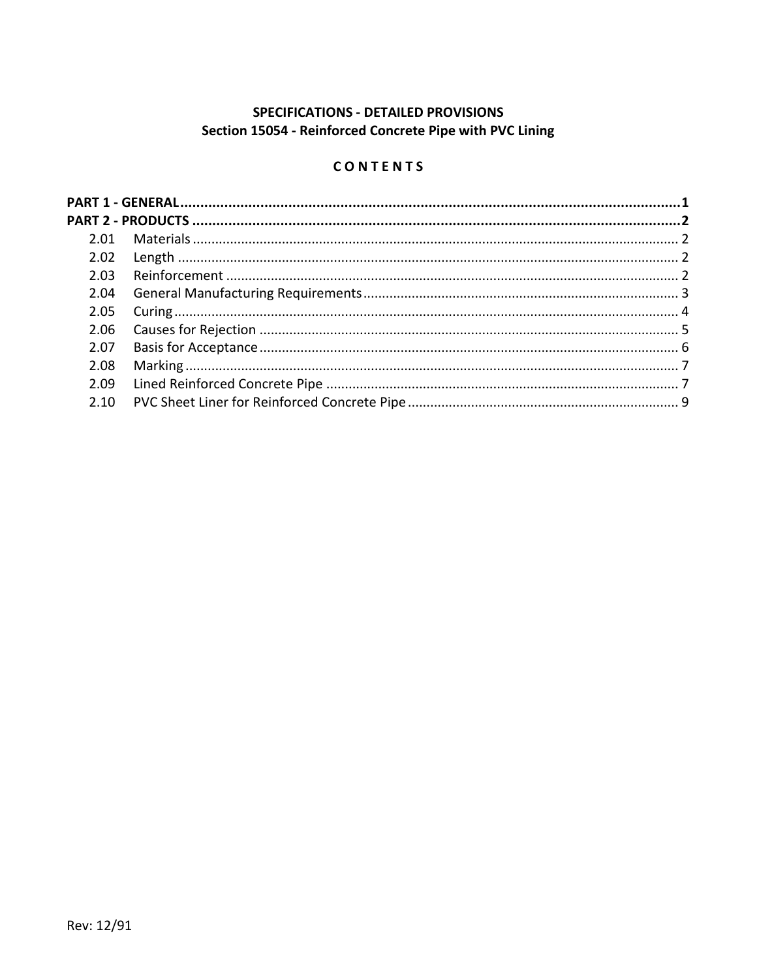# SPECIFICATIONS - DETAILED PROVISIONS Section 15054 - Reinforced Concrete Pipe with PVC Lining

## CONTENTS

| 2.04 |  |  |
|------|--|--|
| 2.05 |  |  |
| 2.06 |  |  |
| 2.07 |  |  |
| 2.08 |  |  |
|      |  |  |
| 2.10 |  |  |
|      |  |  |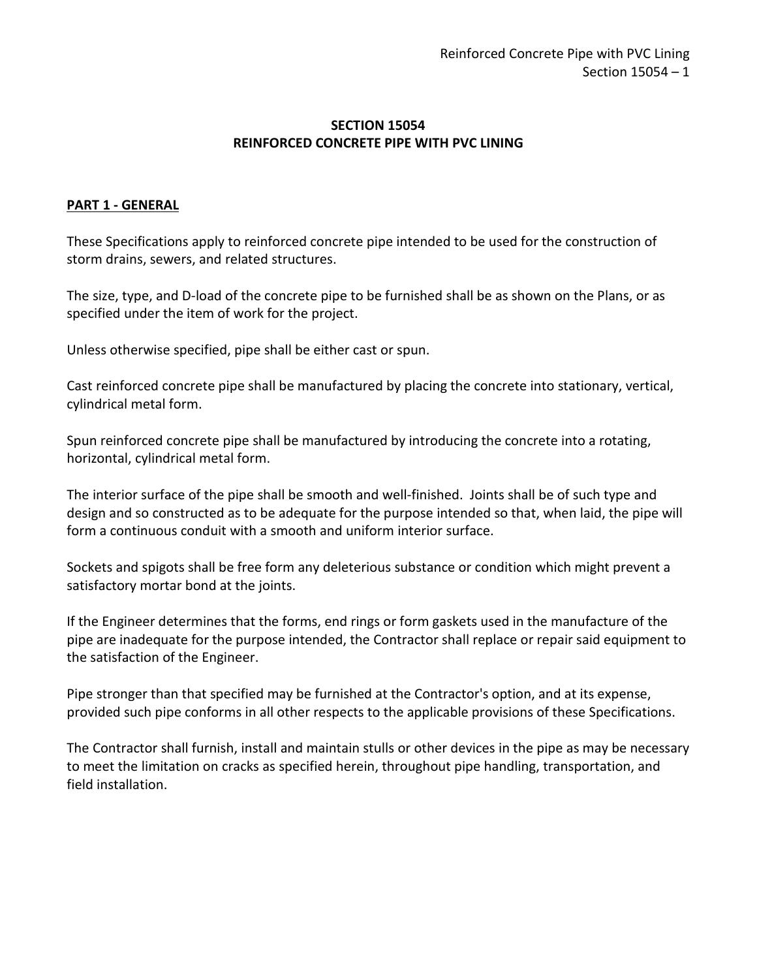### **SECTION 15054 REINFORCED CONCRETE PIPE WITH PVC LINING**

### <span id="page-2-0"></span>**PART 1 - GENERAL**

These Specifications apply to reinforced concrete pipe intended to be used for the construction of storm drains, sewers, and related structures.

The size, type, and D-load of the concrete pipe to be furnished shall be as shown on the Plans, or as specified under the item of work for the project.

Unless otherwise specified, pipe shall be either cast or spun.

Cast reinforced concrete pipe shall be manufactured by placing the concrete into stationary, vertical, cylindrical metal form.

Spun reinforced concrete pipe shall be manufactured by introducing the concrete into a rotating, horizontal, cylindrical metal form.

The interior surface of the pipe shall be smooth and well-finished. Joints shall be of such type and design and so constructed as to be adequate for the purpose intended so that, when laid, the pipe will form a continuous conduit with a smooth and uniform interior surface.

Sockets and spigots shall be free form any deleterious substance or condition which might prevent a satisfactory mortar bond at the joints.

If the Engineer determines that the forms, end rings or form gaskets used in the manufacture of the pipe are inadequate for the purpose intended, the Contractor shall replace or repair said equipment to the satisfaction of the Engineer.

Pipe stronger than that specified may be furnished at the Contractor's option, and at its expense, provided such pipe conforms in all other respects to the applicable provisions of these Specifications.

The Contractor shall furnish, install and maintain stulls or other devices in the pipe as may be necessary to meet the limitation on cracks as specified herein, throughout pipe handling, transportation, and field installation.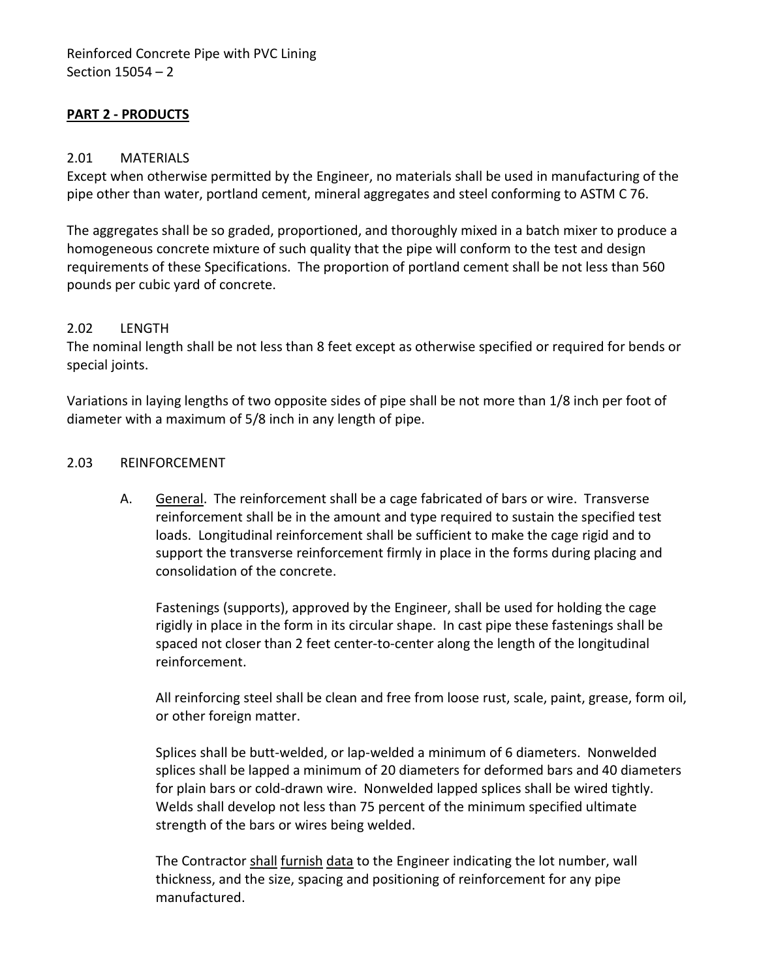## <span id="page-3-0"></span>**PART 2 - PRODUCTS**

#### <span id="page-3-1"></span>2.01 MATERIALS

Except when otherwise permitted by the Engineer, no materials shall be used in manufacturing of the pipe other than water, portland cement, mineral aggregates and steel conforming to ASTM C 76.

The aggregates shall be so graded, proportioned, and thoroughly mixed in a batch mixer to produce a homogeneous concrete mixture of such quality that the pipe will conform to the test and design requirements of these Specifications. The proportion of portland cement shall be not less than 560 pounds per cubic yard of concrete.

#### <span id="page-3-2"></span>2.02 LENGTH

The nominal length shall be not less than 8 feet except as otherwise specified or required for bends or special joints.

Variations in laying lengths of two opposite sides of pipe shall be not more than 1/8 inch per foot of diameter with a maximum of 5/8 inch in any length of pipe.

#### <span id="page-3-3"></span>2.03 REINFORCEMENT

A. General. The reinforcement shall be a cage fabricated of bars or wire. Transverse reinforcement shall be in the amount and type required to sustain the specified test loads. Longitudinal reinforcement shall be sufficient to make the cage rigid and to support the transverse reinforcement firmly in place in the forms during placing and consolidation of the concrete.

Fastenings (supports), approved by the Engineer, shall be used for holding the cage rigidly in place in the form in its circular shape. In cast pipe these fastenings shall be spaced not closer than 2 feet center-to-center along the length of the longitudinal reinforcement.

All reinforcing steel shall be clean and free from loose rust, scale, paint, grease, form oil, or other foreign matter.

Splices shall be butt-welded, or lap-welded a minimum of 6 diameters. Nonwelded splices shall be lapped a minimum of 20 diameters for deformed bars and 40 diameters for plain bars or cold-drawn wire. Nonwelded lapped splices shall be wired tightly. Welds shall develop not less than 75 percent of the minimum specified ultimate strength of the bars or wires being welded.

The Contractor shall furnish data to the Engineer indicating the lot number, wall thickness, and the size, spacing and positioning of reinforcement for any pipe manufactured.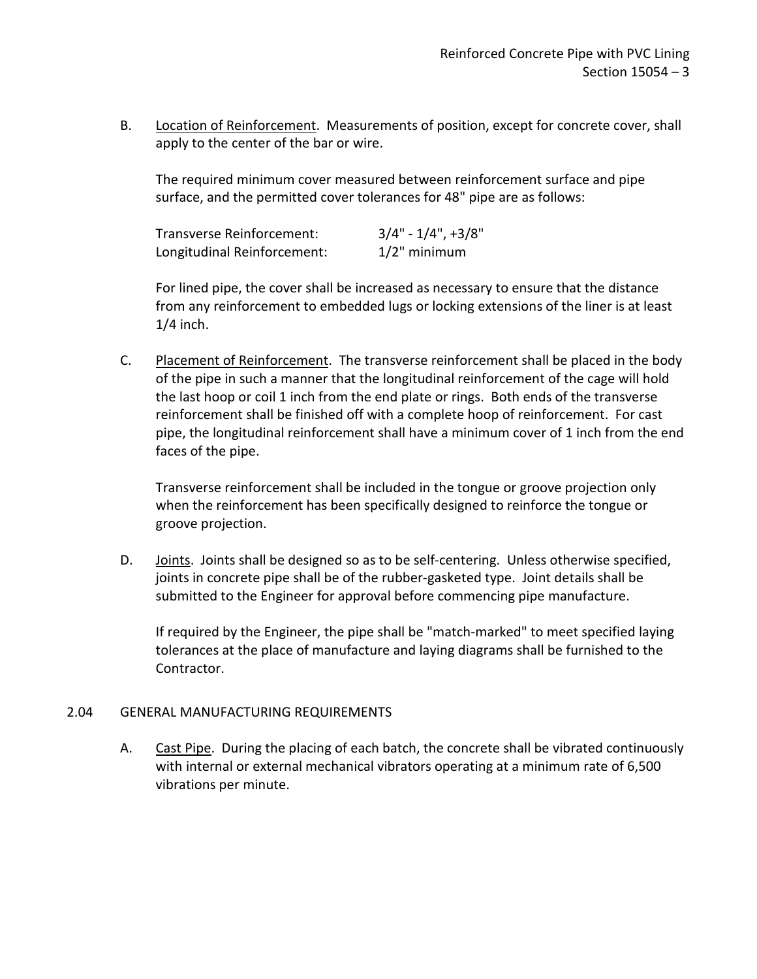B. Location of Reinforcement. Measurements of position, except for concrete cover, shall apply to the center of the bar or wire.

The required minimum cover measured between reinforcement surface and pipe surface, and the permitted cover tolerances for 48" pipe are as follows:

| Transverse Reinforcement:   | $3/4" - 1/4", +3/8"$ |
|-----------------------------|----------------------|
| Longitudinal Reinforcement: | $1/2$ " minimum      |

For lined pipe, the cover shall be increased as necessary to ensure that the distance from any reinforcement to embedded lugs or locking extensions of the liner is at least  $1/4$  inch.

C. Placement of Reinforcement. The transverse reinforcement shall be placed in the body of the pipe in such a manner that the longitudinal reinforcement of the cage will hold the last hoop or coil 1 inch from the end plate or rings. Both ends of the transverse reinforcement shall be finished off with a complete hoop of reinforcement. For cast pipe, the longitudinal reinforcement shall have a minimum cover of 1 inch from the end faces of the pipe.

Transverse reinforcement shall be included in the tongue or groove projection only when the reinforcement has been specifically designed to reinforce the tongue or groove projection.

D. Joints. Joints shall be designed so as to be self-centering. Unless otherwise specified, joints in concrete pipe shall be of the rubber-gasketed type. Joint details shall be submitted to the Engineer for approval before commencing pipe manufacture.

If required by the Engineer, the pipe shall be "match-marked" to meet specified laying tolerances at the place of manufacture and laying diagrams shall be furnished to the Contractor.

#### <span id="page-4-0"></span>2.04 GENERAL MANUFACTURING REQUIREMENTS

A. Cast Pipe. During the placing of each batch, the concrete shall be vibrated continuously with internal or external mechanical vibrators operating at a minimum rate of 6,500 vibrations per minute.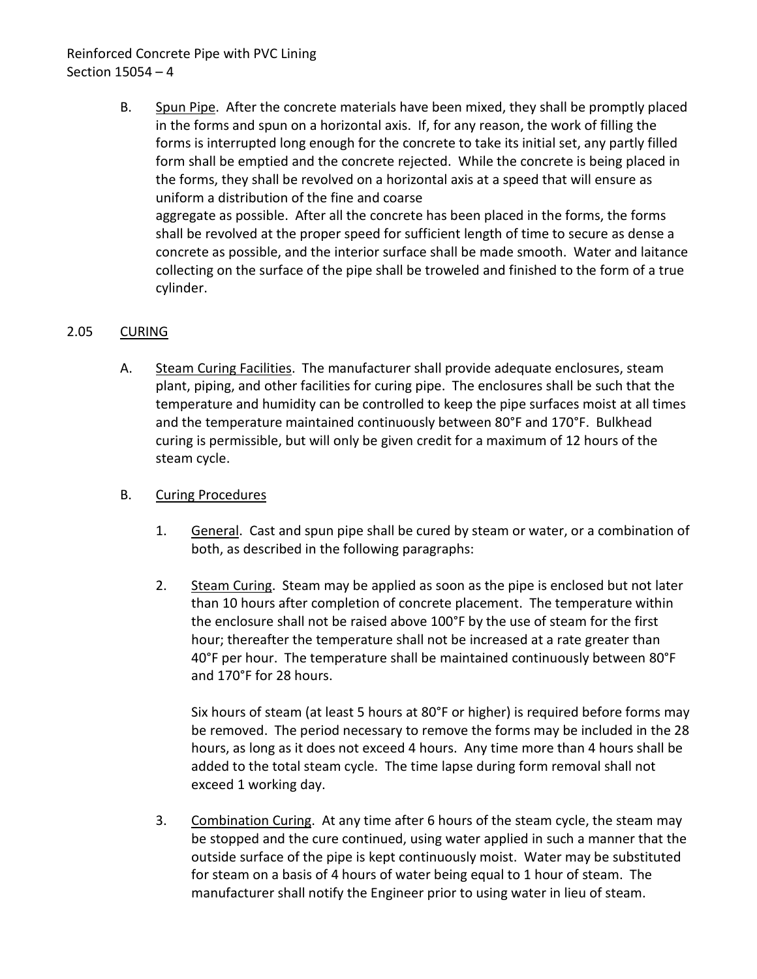## Reinforced Concrete Pipe with PVC Lining Section 15054 – 4

B. Spun Pipe. After the concrete materials have been mixed, they shall be promptly placed in the forms and spun on a horizontal axis. If, for any reason, the work of filling the forms is interrupted long enough for the concrete to take its initial set, any partly filled form shall be emptied and the concrete rejected. While the concrete is being placed in the forms, they shall be revolved on a horizontal axis at a speed that will ensure as uniform a distribution of the fine and coarse aggregate as possible. After all the concrete has been placed in the forms, the forms shall be revolved at the proper speed for sufficient length of time to secure as dense a concrete as possible, and the interior surface shall be made smooth. Water and laitance collecting on the surface of the pipe shall be troweled and finished to the form of a true cylinder.

## <span id="page-5-0"></span>2.05 CURING

A. Steam Curing Facilities. The manufacturer shall provide adequate enclosures, steam plant, piping, and other facilities for curing pipe. The enclosures shall be such that the temperature and humidity can be controlled to keep the pipe surfaces moist at all times and the temperature maintained continuously between 80°F and 170°F. Bulkhead curing is permissible, but will only be given credit for a maximum of 12 hours of the steam cycle.

## B. Curing Procedures

- 1. General. Cast and spun pipe shall be cured by steam or water, or a combination of both, as described in the following paragraphs:
- 2. Steam Curing. Steam may be applied as soon as the pipe is enclosed but not later than 10 hours after completion of concrete placement. The temperature within the enclosure shall not be raised above 100°F by the use of steam for the first hour; thereafter the temperature shall not be increased at a rate greater than 40°F per hour. The temperature shall be maintained continuously between 80°F and 170°F for 28 hours.

Six hours of steam (at least 5 hours at 80°F or higher) is required before forms may be removed. The period necessary to remove the forms may be included in the 28 hours, as long as it does not exceed 4 hours. Any time more than 4 hours shall be added to the total steam cycle. The time lapse during form removal shall not exceed 1 working day.

3. Combination Curing. At any time after 6 hours of the steam cycle, the steam may be stopped and the cure continued, using water applied in such a manner that the outside surface of the pipe is kept continuously moist. Water may be substituted for steam on a basis of 4 hours of water being equal to 1 hour of steam. The manufacturer shall notify the Engineer prior to using water in lieu of steam.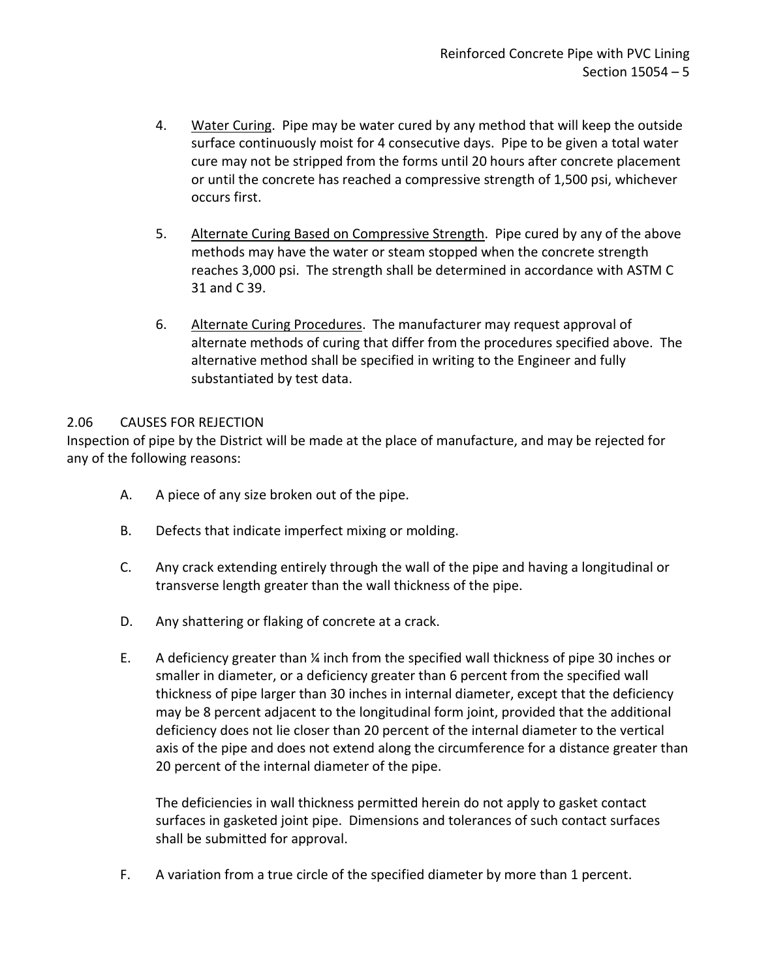- 4. Water Curing. Pipe may be water cured by any method that will keep the outside surface continuously moist for 4 consecutive days. Pipe to be given a total water cure may not be stripped from the forms until 20 hours after concrete placement or until the concrete has reached a compressive strength of 1,500 psi, whichever occurs first.
- 5. Alternate Curing Based on Compressive Strength. Pipe cured by any of the above methods may have the water or steam stopped when the concrete strength reaches 3,000 psi. The strength shall be determined in accordance with ASTM C 31 and C 39.
- 6. Alternate Curing Procedures. The manufacturer may request approval of alternate methods of curing that differ from the procedures specified above. The alternative method shall be specified in writing to the Engineer and fully substantiated by test data.

## <span id="page-6-0"></span>2.06 CAUSES FOR REJECTION

Inspection of pipe by the District will be made at the place of manufacture, and may be rejected for any of the following reasons:

- A. A piece of any size broken out of the pipe.
- B. Defects that indicate imperfect mixing or molding.
- C. Any crack extending entirely through the wall of the pipe and having a longitudinal or transverse length greater than the wall thickness of the pipe.
- D. Any shattering or flaking of concrete at a crack.
- E. A deficiency greater than ¼ inch from the specified wall thickness of pipe 30 inches or smaller in diameter, or a deficiency greater than 6 percent from the specified wall thickness of pipe larger than 30 inches in internal diameter, except that the deficiency may be 8 percent adjacent to the longitudinal form joint, provided that the additional deficiency does not lie closer than 20 percent of the internal diameter to the vertical axis of the pipe and does not extend along the circumference for a distance greater than 20 percent of the internal diameter of the pipe.

The deficiencies in wall thickness permitted herein do not apply to gasket contact surfaces in gasketed joint pipe. Dimensions and tolerances of such contact surfaces shall be submitted for approval.

F. A variation from a true circle of the specified diameter by more than 1 percent.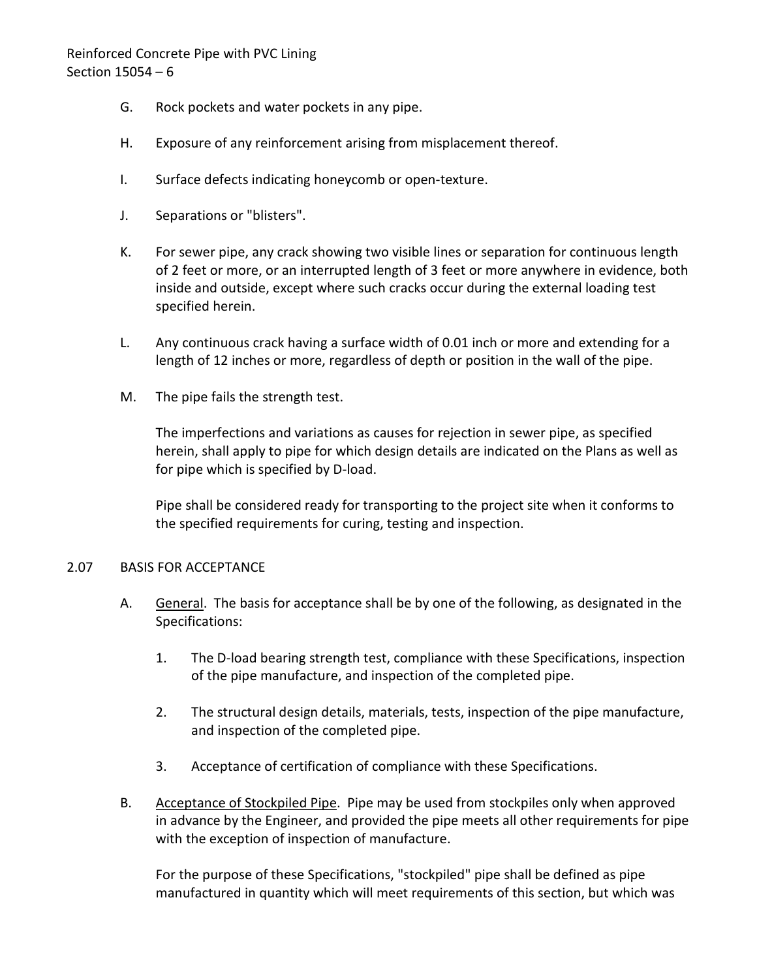## Reinforced Concrete Pipe with PVC Lining Section 15054 – 6

- G. Rock pockets and water pockets in any pipe.
- H. Exposure of any reinforcement arising from misplacement thereof.
- I. Surface defects indicating honeycomb or open-texture.
- J. Separations or "blisters".
- K. For sewer pipe, any crack showing two visible lines or separation for continuous length of 2 feet or more, or an interrupted length of 3 feet or more anywhere in evidence, both inside and outside, except where such cracks occur during the external loading test specified herein.
- L. Any continuous crack having a surface width of 0.01 inch or more and extending for a length of 12 inches or more, regardless of depth or position in the wall of the pipe.
- M. The pipe fails the strength test.

The imperfections and variations as causes for rejection in sewer pipe, as specified herein, shall apply to pipe for which design details are indicated on the Plans as well as for pipe which is specified by D-load.

Pipe shall be considered ready for transporting to the project site when it conforms to the specified requirements for curing, testing and inspection.

#### <span id="page-7-0"></span>2.07 BASIS FOR ACCEPTANCE

- A. General. The basis for acceptance shall be by one of the following, as designated in the Specifications:
	- 1. The D-load bearing strength test, compliance with these Specifications, inspection of the pipe manufacture, and inspection of the completed pipe.
	- 2. The structural design details, materials, tests, inspection of the pipe manufacture, and inspection of the completed pipe.
	- 3. Acceptance of certification of compliance with these Specifications.
- B. Acceptance of Stockpiled Pipe. Pipe may be used from stockpiles only when approved in advance by the Engineer, and provided the pipe meets all other requirements for pipe with the exception of inspection of manufacture.

For the purpose of these Specifications, "stockpiled" pipe shall be defined as pipe manufactured in quantity which will meet requirements of this section, but which was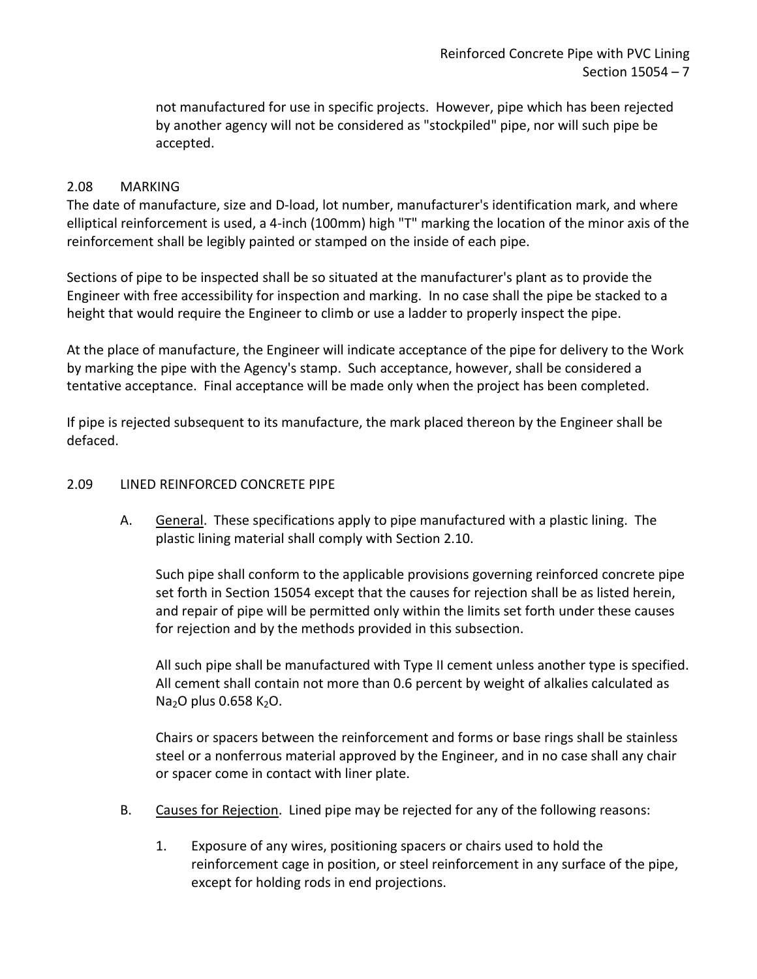not manufactured for use in specific projects. However, pipe which has been rejected by another agency will not be considered as "stockpiled" pipe, nor will such pipe be accepted.

### <span id="page-8-0"></span>2.08 MARKING

The date of manufacture, size and D-load, lot number, manufacturer's identification mark, and where elliptical reinforcement is used, a 4-inch (100mm) high "T" marking the location of the minor axis of the reinforcement shall be legibly painted or stamped on the inside of each pipe.

Sections of pipe to be inspected shall be so situated at the manufacturer's plant as to provide the Engineer with free accessibility for inspection and marking. In no case shall the pipe be stacked to a height that would require the Engineer to climb or use a ladder to properly inspect the pipe.

At the place of manufacture, the Engineer will indicate acceptance of the pipe for delivery to the Work by marking the pipe with the Agency's stamp. Such acceptance, however, shall be considered a tentative acceptance. Final acceptance will be made only when the project has been completed.

If pipe is rejected subsequent to its manufacture, the mark placed thereon by the Engineer shall be defaced.

#### <span id="page-8-1"></span>2.09 LINED REINFORCED CONCRETE PIPE

A. General. These specifications apply to pipe manufactured with a plastic lining. The plastic lining material shall comply with Section 2.10.

Such pipe shall conform to the applicable provisions governing reinforced concrete pipe set forth in Section 15054 except that the causes for rejection shall be as listed herein, and repair of pipe will be permitted only within the limits set forth under these causes for rejection and by the methods provided in this subsection.

All such pipe shall be manufactured with Type II cement unless another type is specified. All cement shall contain not more than 0.6 percent by weight of alkalies calculated as  $Na<sub>2</sub>O$  plus 0.658 K<sub>2</sub>O.

Chairs or spacers between the reinforcement and forms or base rings shall be stainless steel or a nonferrous material approved by the Engineer, and in no case shall any chair or spacer come in contact with liner plate.

- B. Causes for Rejection. Lined pipe may be rejected for any of the following reasons:
	- 1. Exposure of any wires, positioning spacers or chairs used to hold the reinforcement cage in position, or steel reinforcement in any surface of the pipe, except for holding rods in end projections.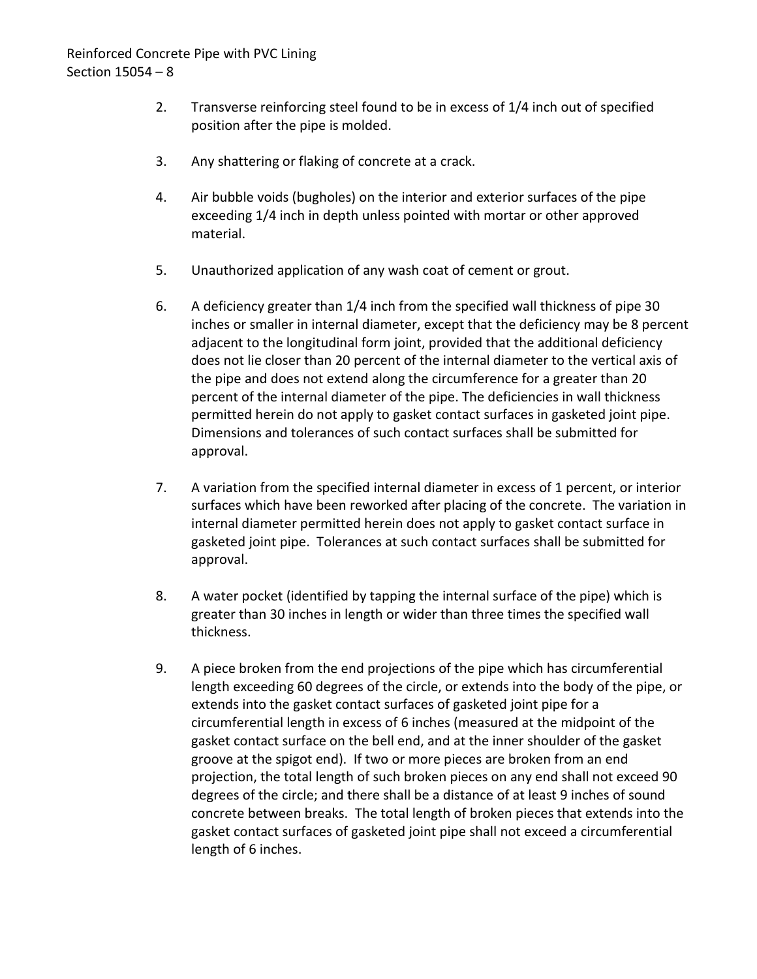- 2. Transverse reinforcing steel found to be in excess of 1/4 inch out of specified position after the pipe is molded.
- 3. Any shattering or flaking of concrete at a crack.
- 4. Air bubble voids (bugholes) on the interior and exterior surfaces of the pipe exceeding 1/4 inch in depth unless pointed with mortar or other approved material.
- 5. Unauthorized application of any wash coat of cement or grout.
- 6. A deficiency greater than 1/4 inch from the specified wall thickness of pipe 30 inches or smaller in internal diameter, except that the deficiency may be 8 percent adjacent to the longitudinal form joint, provided that the additional deficiency does not lie closer than 20 percent of the internal diameter to the vertical axis of the pipe and does not extend along the circumference for a greater than 20 percent of the internal diameter of the pipe. The deficiencies in wall thickness permitted herein do not apply to gasket contact surfaces in gasketed joint pipe. Dimensions and tolerances of such contact surfaces shall be submitted for approval.
- 7. A variation from the specified internal diameter in excess of 1 percent, or interior surfaces which have been reworked after placing of the concrete. The variation in internal diameter permitted herein does not apply to gasket contact surface in gasketed joint pipe. Tolerances at such contact surfaces shall be submitted for approval.
- 8. A water pocket (identified by tapping the internal surface of the pipe) which is greater than 30 inches in length or wider than three times the specified wall thickness.
- 9. A piece broken from the end projections of the pipe which has circumferential length exceeding 60 degrees of the circle, or extends into the body of the pipe, or extends into the gasket contact surfaces of gasketed joint pipe for a circumferential length in excess of 6 inches (measured at the midpoint of the gasket contact surface on the bell end, and at the inner shoulder of the gasket groove at the spigot end). If two or more pieces are broken from an end projection, the total length of such broken pieces on any end shall not exceed 90 degrees of the circle; and there shall be a distance of at least 9 inches of sound concrete between breaks. The total length of broken pieces that extends into the gasket contact surfaces of gasketed joint pipe shall not exceed a circumferential length of 6 inches.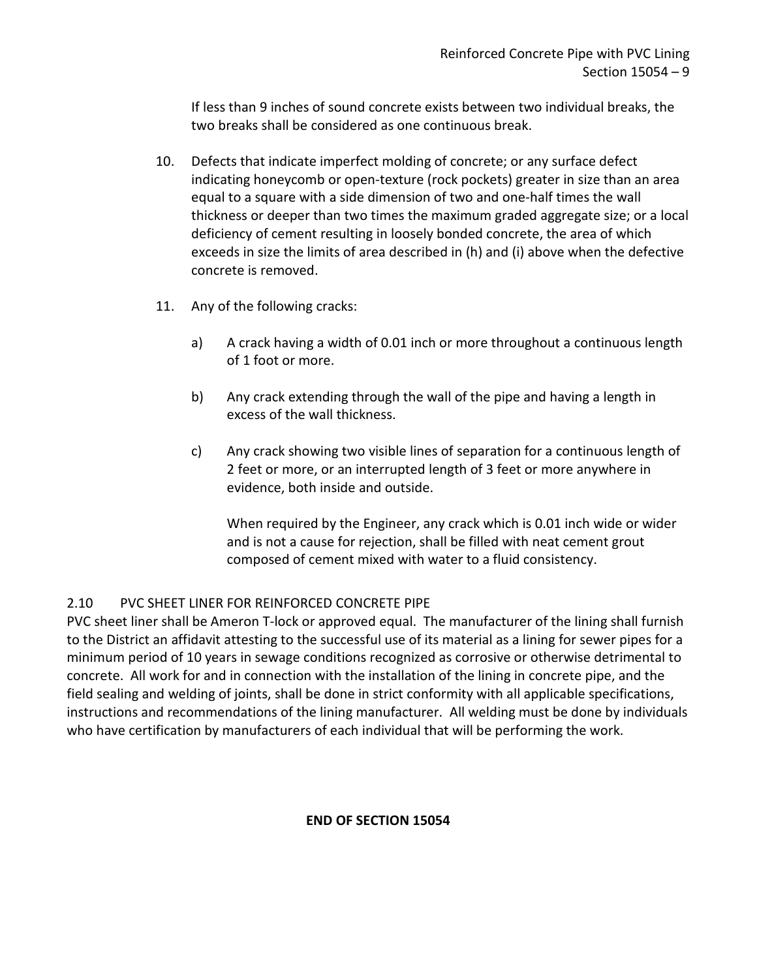If less than 9 inches of sound concrete exists between two individual breaks, the two breaks shall be considered as one continuous break.

- 10. Defects that indicate imperfect molding of concrete; or any surface defect indicating honeycomb or open-texture (rock pockets) greater in size than an area equal to a square with a side dimension of two and one-half times the wall thickness or deeper than two times the maximum graded aggregate size; or a local deficiency of cement resulting in loosely bonded concrete, the area of which exceeds in size the limits of area described in (h) and (i) above when the defective concrete is removed.
- 11. Any of the following cracks:
	- a) A crack having a width of 0.01 inch or more throughout a continuous length of 1 foot or more.
	- b) Any crack extending through the wall of the pipe and having a length in excess of the wall thickness.
	- c) Any crack showing two visible lines of separation for a continuous length of 2 feet or more, or an interrupted length of 3 feet or more anywhere in evidence, both inside and outside.

When required by the Engineer, any crack which is 0.01 inch wide or wider and is not a cause for rejection, shall be filled with neat cement grout composed of cement mixed with water to a fluid consistency.

## <span id="page-10-0"></span>2.10 PVC SHEET LINER FOR REINFORCED CONCRETE PIPE

PVC sheet liner shall be Ameron T-lock or approved equal. The manufacturer of the lining shall furnish to the District an affidavit attesting to the successful use of its material as a lining for sewer pipes for a minimum period of 10 years in sewage conditions recognized as corrosive or otherwise detrimental to concrete. All work for and in connection with the installation of the lining in concrete pipe, and the field sealing and welding of joints, shall be done in strict conformity with all applicable specifications, instructions and recommendations of the lining manufacturer. All welding must be done by individuals who have certification by manufacturers of each individual that will be performing the work.

## **END OF SECTION 15054**